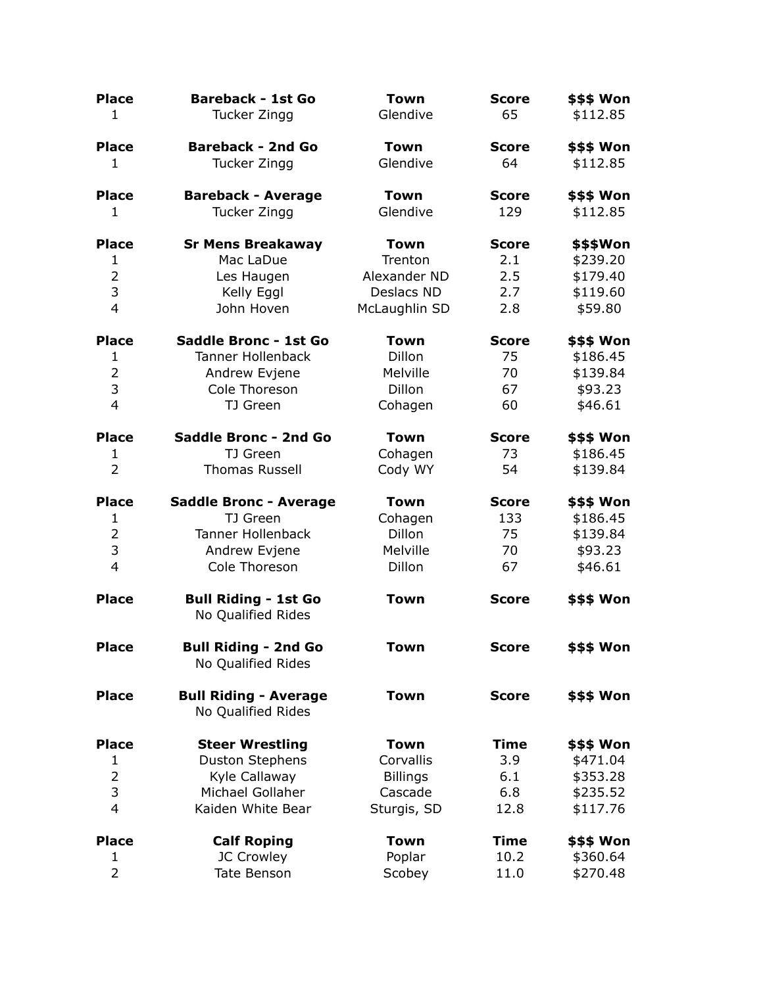| <b>Place</b>                   | <b>Bareback - 1st Go</b>                           | <b>Town</b>     | <b>Score</b> | \$\$\$ Won           |
|--------------------------------|----------------------------------------------------|-----------------|--------------|----------------------|
| $\mathbf{1}$                   | Tucker Zingg                                       | Glendive        | 65           | \$112.85             |
| <b>Place</b>                   | <b>Bareback - 2nd Go</b>                           | Town            | <b>Score</b> | \$\$\$ Won           |
| $\mathbf{1}$                   | Tucker Zingg                                       | Glendive        | 64           | \$112.85             |
| <b>Place</b>                   | <b>Bareback - Average</b>                          | <b>Town</b>     | <b>Score</b> | \$\$\$ Won           |
| 1                              | Tucker Zingg                                       | Glendive        | 129          | \$112.85             |
| <b>Place</b>                   | <b>Sr Mens Breakaway</b>                           | <b>Town</b>     | <b>Score</b> | \$\$\$Won            |
| $\mathbf{1}$                   | Mac LaDue                                          | Trenton         | 2.1          | \$239.20             |
| $\overline{2}$                 | Les Haugen                                         | Alexander ND    | 2.5          | \$179.40             |
| 3                              | Kelly Eggl                                         | Deslacs ND      | 2.7          | \$119.60             |
| $\overline{4}$                 | John Hoven                                         | McLaughlin SD   | 2.8          | \$59.80              |
| <b>Place</b>                   | Saddle Bronc - 1st Go                              | <b>Town</b>     | <b>Score</b> | <b>\$\$\$ Won</b>    |
| $\mathbf{1}$                   | <b>Tanner Hollenback</b>                           | Dillon          | 75           | \$186.45             |
| $\overline{2}$                 | Andrew Evjene                                      | Melville        | 70           | \$139.84             |
| 3                              | Cole Thoreson                                      | <b>Dillon</b>   | 67           | \$93.23              |
| $\overline{4}$                 | TJ Green                                           | Cohagen         | 60           | \$46.61              |
| <b>Place</b>                   | <b>Saddle Bronc - 2nd Go</b>                       | <b>Town</b>     | <b>Score</b> | \$\$\$ Won           |
| $\mathbf{1}$                   | TJ Green                                           | Cohagen         | 73           | \$186.45             |
| $\overline{2}$                 | <b>Thomas Russell</b>                              | Cody WY         | 54           | \$139.84             |
| <b>Place</b>                   | <b>Saddle Bronc - Average</b>                      | <b>Town</b>     | <b>Score</b> | \$\$\$ Won           |
| $\mathbf{1}$                   | TJ Green                                           | Cohagen         | 133          | \$186.45             |
|                                |                                                    | <b>Dillon</b>   | 75           | \$139.84             |
| $\overline{2}$                 | <b>Tanner Hollenback</b>                           |                 |              |                      |
| 3                              | Andrew Evjene                                      | Melville        | 70           | \$93.23              |
| $\overline{4}$                 | Cole Thoreson                                      | Dillon          | 67           | \$46.61              |
| <b>Place</b>                   | <b>Bull Riding - 1st Go</b><br>No Qualified Rides  | <b>Town</b>     | <b>Score</b> | \$\$\$ Won           |
| <b>Place</b>                   | <b>Bull Riding - 2nd Go</b><br>No Qualified Rides  | <b>Town</b>     | <b>Score</b> | \$\$\$ Won           |
| <b>Place</b>                   | <b>Bull Riding - Average</b><br>No Qualified Rides | <b>Town</b>     | <b>Score</b> | \$\$\$ Won           |
| <b>Place</b>                   | <b>Steer Wrestling</b>                             | <b>Town</b>     | <b>Time</b>  | \$\$\$ Won           |
| $\mathbf{1}$                   | <b>Duston Stephens</b>                             | Corvallis       | 3.9          | \$471.04             |
| $\overline{2}$                 | Kyle Callaway                                      | <b>Billings</b> | 6.1          | \$353.28             |
| 3                              | Michael Gollaher                                   | Cascade         | 6.8          | \$235.52             |
| $\overline{4}$                 | Kaiden White Bear                                  | Sturgis, SD     | 12.8         | \$117.76             |
| <b>Place</b>                   | <b>Calf Roping</b>                                 | <b>Town</b>     | <b>Time</b>  | \$\$\$ Won           |
| $\mathbf{1}$<br>$\overline{2}$ | JC Crowley<br>Tate Benson                          | Poplar          | 10.2         | \$360.64<br>\$270.48 |